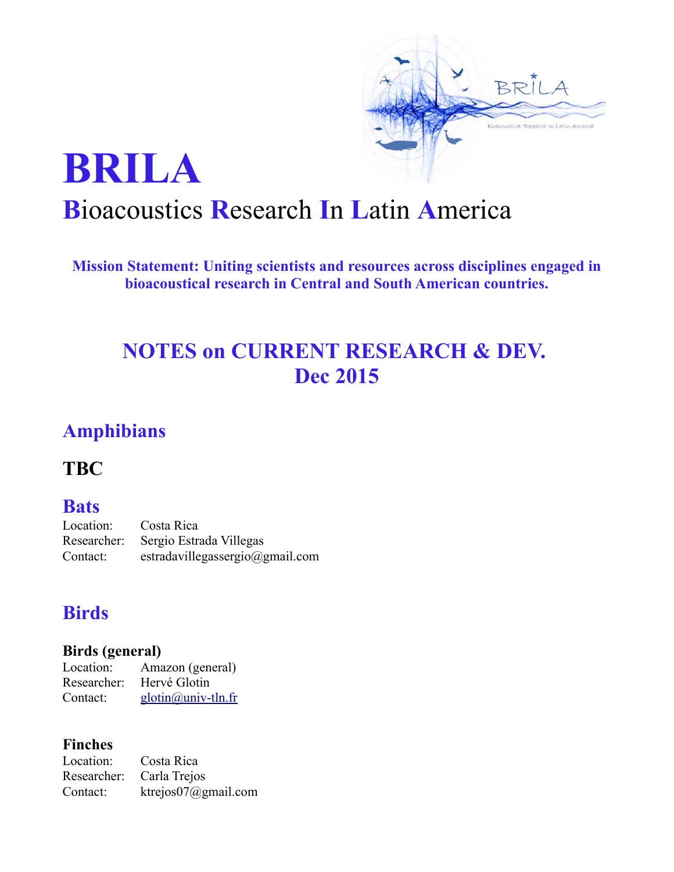

# **BRILA B**ioacoustics **R**esearch **I**n **L**atin **A**merica

**Mission Statement: Uniting scientists and resources across disciplines engaged in bioacoustical research in Central and South American countries.**

# **NOTES on CURRENT RESEARCH & DEV. Dec 2015**

# **Amphibians**

**TBC**

### **Bats**

Location: Costa Rica Researcher: Sergio Estrada Villegas Contact: [estradavillegassergio@gmail.com](mailto:estradavillegassergio@gmail.com)

### **Birds**

### **Birds (general)**

Location: Amazon (general) Researcher: Hervé Glotin Contact: [glotin@univ-tln.fr](mailto:glotin%20(at)%20univ-tln.fr) 

### **Finches**

Location: Costa Rica Researcher: Carla Trejos Contact: [ktrejos07@gmail.com](mailto:ktrejos07@gmail.com)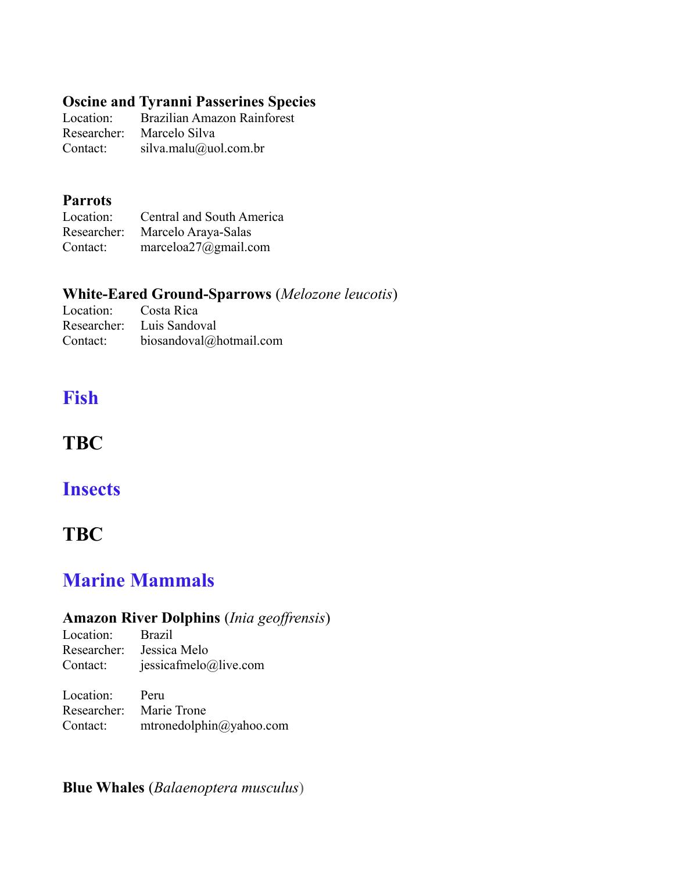### **Oscine and Tyranni Passerines Species**

Location: Brazilian Amazon Rainforest Researcher: Marcelo Silva Contact: silva.malu@uol.com.br

#### **Parrots**

| Location: | Central and South America       |
|-----------|---------------------------------|
|           | Researcher: Marcelo Araya-Salas |
| Contact:  | marceloa27@gmail.com            |

### **White-Eared Ground-Sparrows** (*Melozone leucotis*)

| Location: Costa Rica |                           |
|----------------------|---------------------------|
|                      | Researcher: Luis Sandoval |
| Contact:             | biosandoval@hotmail.com   |

# **Fish**

### **TBC**

### **Insects**

### **TBC**

### **Marine Mammals**

### **Amazon River Dolphins** (*Inia geoffrensis*)

Location: Brazil Researcher: Jessica Melo Contact: jessicafmelo@live.com

| Location: | Peru                    |
|-----------|-------------------------|
|           | Researcher: Marie Trone |
| Contact:  | mtronedolphin@yahoo.com |

### **Blue Whales** (*Balaenoptera musculus*)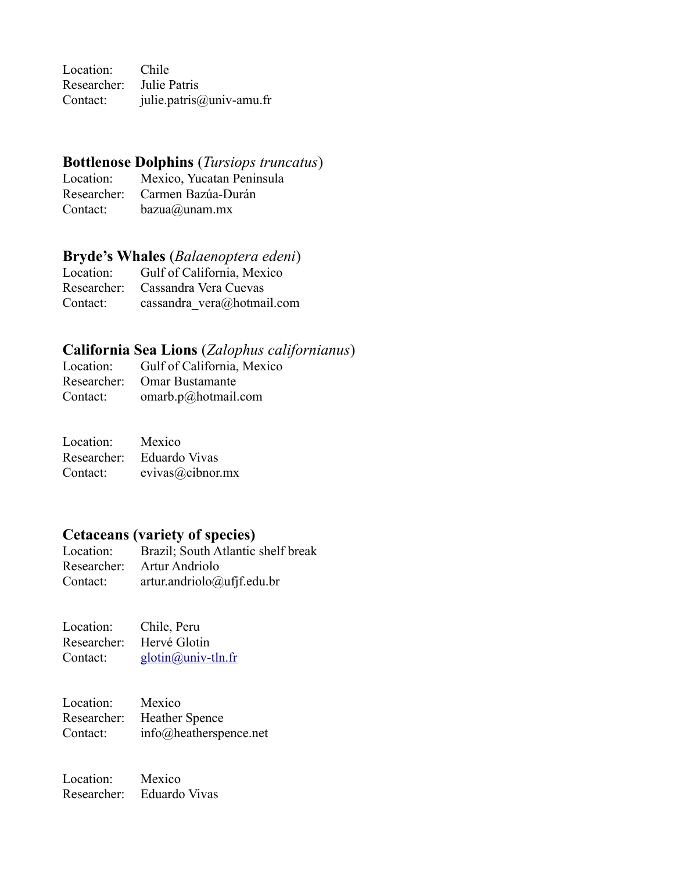Location: Chile Researcher: Julie Patris Contact: julie.patris@univ-amu.fr

#### **Bottlenose Dolphins** (*Tursiops truncatus*)

Location: Mexico, Yucatan Peninsula Researcher: Carmen Bazúa-Durán Contact: bazua@unam.mx

#### **Bryde's Whales** (*Balaenoptera edeni*)

Location: Gulf of California, Mexico Researcher: Cassandra Vera Cuevas Contact: cassandra vera@hotmail.com

#### **California Sea Lions** (*Zalophus californianus*)

|          | Location: Gulf of California, Mexico |
|----------|--------------------------------------|
|          | Researcher: Omar Bustamante          |
| Contact: | omarb.p@hotmail.com                  |

| Location: | Mexico                    |
|-----------|---------------------------|
|           | Researcher: Eduardo Vivas |
| Contact:  | $e$ vivas $@$ cibnor.mx   |

#### **Cetaceans (variety of species)**

Location: Brazil; South Atlantic shelf break Researcher: Artur Andriolo Contact: [artur.andriolo@ufjf.edu.br](mailto:artur.andriolo@ufjf.edu.br)

| Location:   | Chile, Peru        |
|-------------|--------------------|
| Researcher: | Hervé Glotin       |
| Contact:    | glotin@univ-tln.fr |

Location: Mexico Researcher: Heather Spence Contact: [info@heatherspence.net](mailto:info@heatherspence.net)

Location: Mexico Researcher: Eduardo Vivas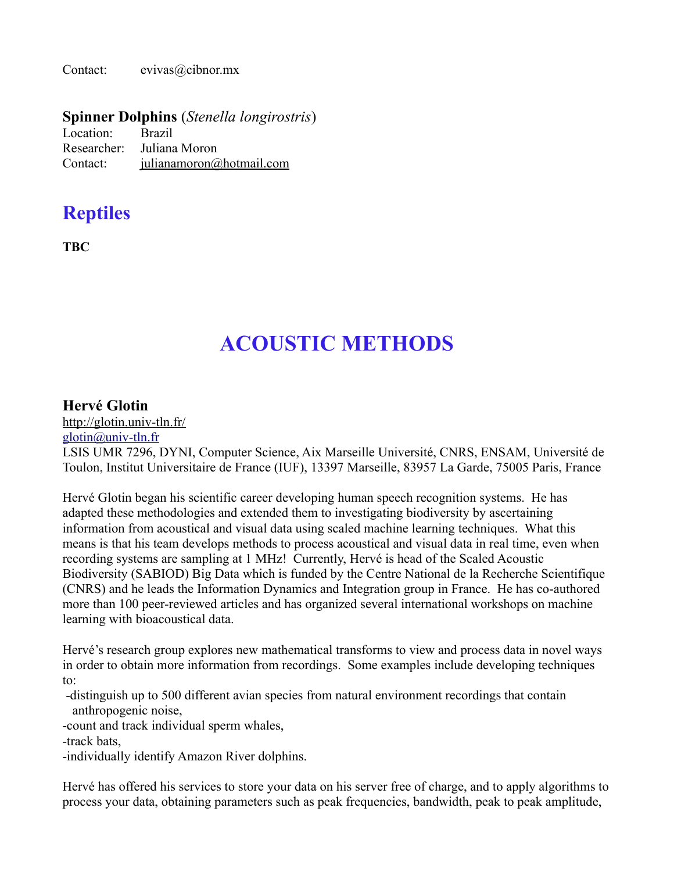Contact: [evivas@cibnor.mx](mailto:evivas@cibnor.mx)

#### **Spinner Dolphins** (*Stenella longirostris*)

| Location: | <b>Brazil</b>               |
|-----------|-----------------------------|
|           | Researcher: Juliana Moron   |
| Contact:  | $i$ ulianamoron@hotmail.com |

### **Reptiles**

**TBC**

# **ACOUSTIC METHODS**

#### **Hervé Glotin**

<http://glotin.univ-tln.fr/>

[glotin@univ-tln.fr](mailto:glotin%20(at)%20univ-tln.fr) 

LSIS UMR 7296, DYNI, Computer Science, Aix Marseille Université, CNRS, ENSAM, Université de Toulon, Institut Universitaire de France (IUF), 13397 Marseille, 83957 La Garde, 75005 Paris, France

Hervé Glotin began his scientific career developing human speech recognition systems. He has adapted these methodologies and extended them to investigating biodiversity by ascertaining information from acoustical and visual data using scaled machine learning techniques. What this means is that his team develops methods to process acoustical and visual data in real time, even when recording systems are sampling at 1 MHz! Currently, Hervé is head of the Scaled Acoustic Biodiversity (SABIOD) Big Data which is funded by the Centre National de la Recherche Scientifique (CNRS) and he leads the Information Dynamics and Integration group in France. He has co-authored more than 100 peer-reviewed articles and has organized several international workshops on machine learning with bioacoustical data.

Hervé's research group explores new mathematical transforms to view and process data in novel ways in order to obtain more information from recordings. Some examples include developing techniques to:

 -distinguish up to 500 different avian species from natural environment recordings that contain anthropogenic noise,

-count and track individual sperm whales,

-track bats,

-individually identify Amazon River dolphins.

Hervé has offered his services to store your data on his server free of charge, and to apply algorithms to process your data, obtaining parameters such as peak frequencies, bandwidth, peak to peak amplitude,